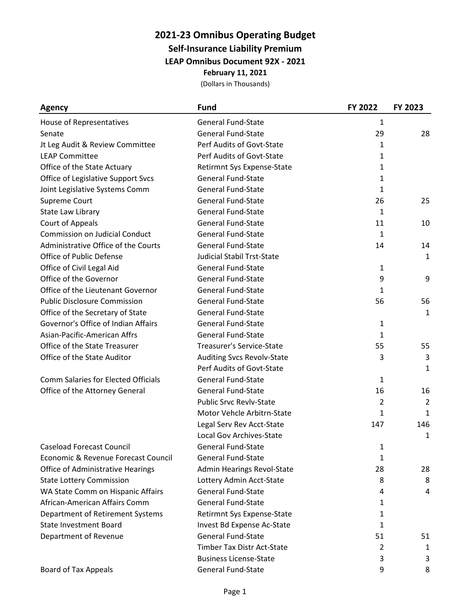## **2021-23 Omnibus Operating Budget**

**Self-Insurance Liability Premium**

**LEAP Omnibus Document 92X - 2021**

**February 11, 2021**

| <b>Agency</b>                              | <b>Fund</b>                       | FY 2022      | FY 2023        |
|--------------------------------------------|-----------------------------------|--------------|----------------|
| House of Representatives                   | <b>General Fund-State</b>         | 1            |                |
| Senate                                     | <b>General Fund-State</b>         | 29           | 28             |
| Jt Leg Audit & Review Committee            | Perf Audits of Govt-State         | 1            |                |
| <b>LEAP Committee</b>                      | Perf Audits of Govt-State         | 1            |                |
| Office of the State Actuary                | Retirmnt Sys Expense-State        | 1            |                |
| Office of Legislative Support Svcs         | <b>General Fund-State</b>         | 1            |                |
| Joint Legislative Systems Comm             | <b>General Fund-State</b>         | 1            |                |
| Supreme Court                              | <b>General Fund-State</b>         | 26           | 25             |
| State Law Library                          | <b>General Fund-State</b>         | 1            |                |
| Court of Appeals                           | <b>General Fund-State</b>         | 11           | 10             |
| <b>Commission on Judicial Conduct</b>      | <b>General Fund-State</b>         | 1            |                |
| Administrative Office of the Courts        | General Fund-State                | 14           | 14             |
| Office of Public Defense                   | <b>Judicial Stabil Trst-State</b> |              | 1              |
| Office of Civil Legal Aid                  | <b>General Fund-State</b>         | $\mathbf{1}$ |                |
| Office of the Governor                     | <b>General Fund-State</b>         | 9            | 9              |
| Office of the Lieutenant Governor          | <b>General Fund-State</b>         | 1            |                |
| <b>Public Disclosure Commission</b>        | <b>General Fund-State</b>         | 56           | 56             |
| Office of the Secretary of State           | <b>General Fund-State</b>         |              | $\mathbf{1}$   |
| Governor's Office of Indian Affairs        | General Fund-State                | 1            |                |
| Asian-Pacific-American Affrs               | <b>General Fund-State</b>         | 1            |                |
| Office of the State Treasurer              | <b>Treasurer's Service-State</b>  | 55           | 55             |
| Office of the State Auditor                | <b>Auditing Svcs Revolv-State</b> | 3            | 3              |
|                                            | Perf Audits of Govt-State         |              | 1              |
| <b>Comm Salaries for Elected Officials</b> | <b>General Fund-State</b>         | 1            |                |
| Office of the Attorney General             | General Fund-State                | 16           | 16             |
|                                            | <b>Public Srvc Revlv-State</b>    | 2            | $\overline{2}$ |
|                                            | Motor Vehcle Arbitrn-State        | 1            | 1              |
|                                            | Legal Serv Rev Acct-State         | 147          | 146            |
|                                            | Local Gov Archives-State          |              | 1              |
| <b>Caseload Forecast Council</b>           | <b>General Fund-State</b>         | 1            |                |
| Economic & Revenue Forecast Council        | <b>General Fund-State</b>         | 1            |                |
| <b>Office of Administrative Hearings</b>   | Admin Hearings Revol-State        | 28           | 28             |
| <b>State Lottery Commission</b>            | Lottery Admin Acct-State          | 8            | 8              |
| WA State Comm on Hispanic Affairs          | <b>General Fund-State</b>         | 4            | 4              |
| African-American Affairs Comm              | <b>General Fund-State</b>         | 1            |                |
| Department of Retirement Systems           | Retirmnt Sys Expense-State        | 1            |                |
| <b>State Investment Board</b>              | Invest Bd Expense Ac-State        | 1            |                |
| Department of Revenue                      | <b>General Fund-State</b>         | 51           | 51             |
|                                            | Timber Tax Distr Act-State        | 2            | 1              |
|                                            | <b>Business License-State</b>     | 3            | 3              |
| <b>Board of Tax Appeals</b>                | <b>General Fund-State</b>         | 9            | 8              |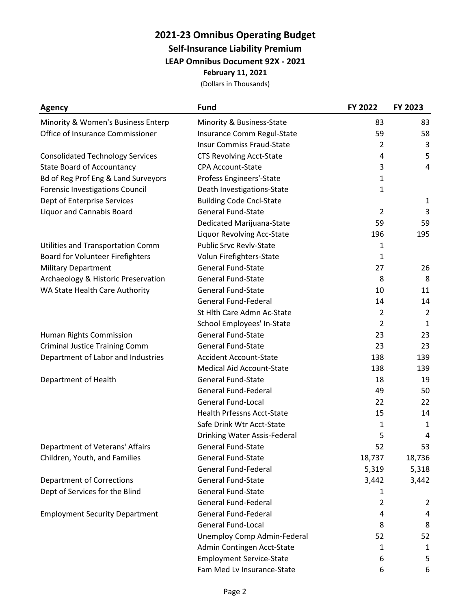## **2021-23 Omnibus Operating Budget Self-Insurance Liability Premium LEAP Omnibus Document 92X - 2021**

**February 11, 2021**

| Agency                                  | <b>Fund</b>                       | FY 2022        | FY 2023        |
|-----------------------------------------|-----------------------------------|----------------|----------------|
| Minority & Women's Business Enterp      | Minority & Business-State         | 83             | 83             |
| Office of Insurance Commissioner        | Insurance Comm Regul-State        | 59             | 58             |
|                                         | <b>Insur Commiss Fraud-State</b>  | 2              | 3              |
| <b>Consolidated Technology Services</b> | <b>CTS Revolving Acct-State</b>   | 4              | 5              |
| <b>State Board of Accountancy</b>       | <b>CPA Account-State</b>          | 3              | $\overline{4}$ |
| Bd of Reg Prof Eng & Land Surveyors     | Profess Engineers'-State          | $\mathbf{1}$   |                |
| Forensic Investigations Council         | Death Investigations-State        | $\mathbf{1}$   |                |
| Dept of Enterprise Services             | <b>Building Code Cncl-State</b>   |                | 1              |
| <b>Liquor and Cannabis Board</b>        | <b>General Fund-State</b>         | $\overline{2}$ | 3              |
|                                         | Dedicated Marijuana-State         | 59             | 59             |
|                                         | Liquor Revolving Acc-State        | 196            | 195            |
| Utilities and Transportation Comm       | <b>Public Srvc Revlv-State</b>    | 1              |                |
| <b>Board for Volunteer Firefighters</b> | Volun Firefighters-State          | 1              |                |
| <b>Military Department</b>              | <b>General Fund-State</b>         | 27             | 26             |
| Archaeology & Historic Preservation     | <b>General Fund-State</b>         | 8              | 8              |
| WA State Health Care Authority          | <b>General Fund-State</b>         | 10             | 11             |
|                                         | <b>General Fund-Federal</b>       | 14             | 14             |
|                                         | St Hlth Care Admn Ac-State        | $\overline{2}$ | $\overline{2}$ |
|                                         | School Employees' In-State        | 2              | 1              |
| Human Rights Commission                 | <b>General Fund-State</b>         | 23             | 23             |
| <b>Criminal Justice Training Comm</b>   | <b>General Fund-State</b>         | 23             | 23             |
| Department of Labor and Industries      | <b>Accident Account-State</b>     | 138            | 139            |
|                                         | <b>Medical Aid Account-State</b>  | 138            | 139            |
| Department of Health                    | <b>General Fund-State</b>         | 18             | 19             |
|                                         | <b>General Fund-Federal</b>       | 49             | 50             |
|                                         | <b>General Fund-Local</b>         | 22             | 22             |
|                                         | <b>Health Prfessns Acct-State</b> | 15             | 14             |
|                                         | Safe Drink Wtr Acct-State         | 1              | 1              |
|                                         | Drinking Water Assis-Federal      | 5              | 4              |
| Department of Veterans' Affairs         | <b>General Fund-State</b>         | 52             | 53             |
| Children, Youth, and Families           | <b>General Fund-State</b>         | 18,737         | 18,736         |
|                                         | <b>General Fund-Federal</b>       | 5,319          | 5,318          |
| <b>Department of Corrections</b>        | <b>General Fund-State</b>         | 3,442          | 3,442          |
| Dept of Services for the Blind          | <b>General Fund-State</b>         | 1              |                |
|                                         | <b>General Fund-Federal</b>       | $\overline{2}$ | 2              |
| <b>Employment Security Department</b>   | <b>General Fund-Federal</b>       | 4              | 4              |
|                                         | <b>General Fund-Local</b>         | 8              | 8              |
|                                         | Unemploy Comp Admin-Federal       | 52             | 52             |
|                                         | Admin Contingen Acct-State        | 1              | 1              |
|                                         | <b>Employment Service-State</b>   | 6              | 5              |
|                                         | Fam Med Lv Insurance-State        | 6              | 6              |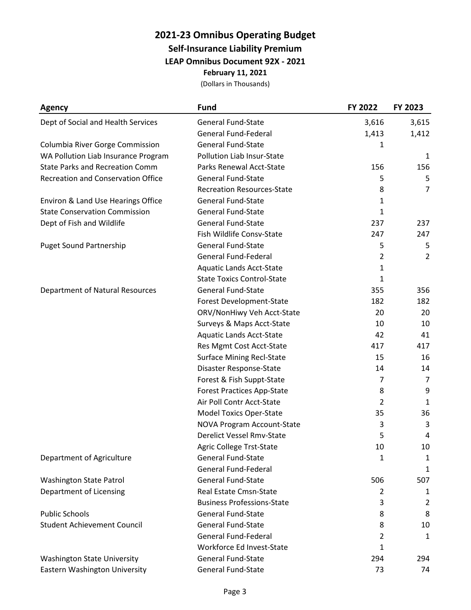### **2021-23 Omnibus Operating Budget Self-Insurance Liability Premium**

**LEAP Omnibus Document 92X - 2021**

**February 11, 2021**

| <b>Agency</b>                             | <b>Fund</b>                       | FY 2022        | FY 2023        |
|-------------------------------------------|-----------------------------------|----------------|----------------|
| Dept of Social and Health Services        | <b>General Fund-State</b>         | 3,616          | 3,615          |
|                                           | <b>General Fund-Federal</b>       | 1,413          | 1,412          |
| Columbia River Gorge Commission           | <b>General Fund-State</b>         | 1              |                |
| WA Pollution Liab Insurance Program       | Pollution Liab Insur-State        |                | 1              |
| <b>State Parks and Recreation Comm</b>    | Parks Renewal Acct-State          | 156            | 156            |
| <b>Recreation and Conservation Office</b> | <b>General Fund-State</b>         | 5              | 5              |
|                                           | <b>Recreation Resources-State</b> | 8              | 7              |
| Environ & Land Use Hearings Office        | <b>General Fund-State</b>         | $\mathbf{1}$   |                |
| <b>State Conservation Commission</b>      | General Fund-State                | $\mathbf{1}$   |                |
| Dept of Fish and Wildlife                 | <b>General Fund-State</b>         | 237            | 237            |
|                                           | Fish Wildlife Consv-State         | 247            | 247            |
| <b>Puget Sound Partnership</b>            | General Fund-State                | 5              | 5              |
|                                           | <b>General Fund-Federal</b>       | $\overline{2}$ | $\overline{2}$ |
|                                           | <b>Aquatic Lands Acct-State</b>   | 1              |                |
|                                           | <b>State Toxics Control-State</b> | $\mathbf{1}$   |                |
| <b>Department of Natural Resources</b>    | <b>General Fund-State</b>         | 355            | 356            |
|                                           | Forest Development-State          | 182            | 182            |
|                                           | ORV/NonHiwy Veh Acct-State        | 20             | 20             |
|                                           | Surveys & Maps Acct-State         | 10             | 10             |
|                                           | <b>Aquatic Lands Acct-State</b>   | 42             | 41             |
|                                           | Res Mgmt Cost Acct-State          | 417            | 417            |
|                                           | <b>Surface Mining Recl-State</b>  | 15             | 16             |
|                                           | Disaster Response-State           | 14             | 14             |
|                                           | Forest & Fish Suppt-State         | 7              | 7              |
|                                           | <b>Forest Practices App-State</b> | 8              | 9              |
|                                           | Air Poll Contr Acct-State         | $\overline{2}$ | 1              |
|                                           | <b>Model Toxics Oper-State</b>    | 35             | 36             |
|                                           | <b>NOVA Program Account-State</b> | 3              | 3              |
|                                           | <b>Derelict Vessel Rmv-State</b>  | 5              | 4              |
|                                           | Agric College Trst-State          | 10             | 10             |
| Department of Agriculture                 | <b>General Fund-State</b>         | 1              | 1              |
|                                           | <b>General Fund-Federal</b>       |                | 1              |
| Washington State Patrol                   | <b>General Fund-State</b>         | 506            | 507            |
| Department of Licensing                   | Real Estate Cmsn-State            | 2              | 1              |
|                                           | <b>Business Professions-State</b> | 3              | $\overline{2}$ |
| <b>Public Schools</b>                     | <b>General Fund-State</b>         | 8              | 8              |
| <b>Student Achievement Council</b>        | <b>General Fund-State</b>         | 8              | 10             |
|                                           | <b>General Fund-Federal</b>       | 2              | 1              |
|                                           | Workforce Ed Invest-State         | 1              |                |
| <b>Washington State University</b>        | <b>General Fund-State</b>         | 294            | 294            |
| Eastern Washington University             | <b>General Fund-State</b>         | 73             | 74             |